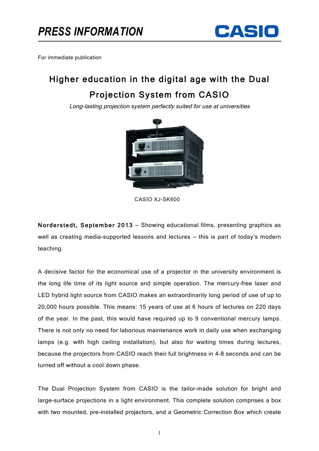

For immediate publication

## Higher education in the digital age with the Dual Projection System from CASIO

Long-lasting projection system perfectly suited for use at universities



CASIO XJ-SK600

Norderstedt, September 2013 — Showing educational films, presenting graphics as well as creating media-supported lessons and lectures — this is part of today's modern teaching.

A decisive factor for the economical use of a projector in the university environment is the long life time of its light source and simple operation. The mercury-free laser and LED hybrid light source from CASIO makes an extraordinarily long period of use of up to 20,000 hours possible. This means: 15 years of use at 6 hours of lectures on 220 days of the year. In the past, this would have required up to 9 conventional mercury lamps. There is not only no need for laborious maintenance work in daily use when exchanging lamps (e.g. with high ceiling installation), but also for waiting times during lectures, because the projectors from CASIO reach their full brightness in 4-8 seconds and can be turned off without a cool down phase.

The Dual Projection System from CASIO is the tailor-made solution for bright and large-surface projections in a light environment. This complete solution comprises a box with two mounted, pre-installed projectors, and a Geometric Correction Box which create